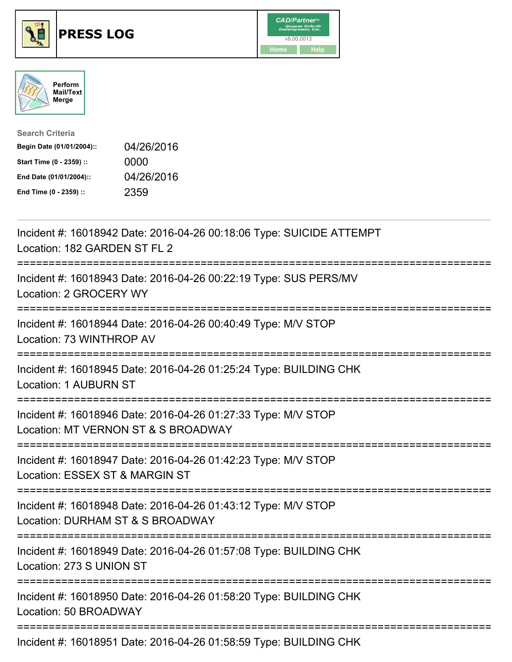





| <b>Search Criteria</b>    |            |
|---------------------------|------------|
| Begin Date (01/01/2004):: | 04/26/2016 |
| Start Time (0 - 2359) ::  | 0000       |
| End Date (01/01/2004)::   | 04/26/2016 |
| End Time (0 - 2359) ::    | 2359       |

| Incident #: 16018942 Date: 2016-04-26 00:18:06 Type: SUICIDE ATTEMPT<br>Location: 182 GARDEN ST FL 2                         |
|------------------------------------------------------------------------------------------------------------------------------|
| Incident #: 16018943 Date: 2016-04-26 00:22:19 Type: SUS PERS/MV<br>Location: 2 GROCERY WY                                   |
| Incident #: 16018944 Date: 2016-04-26 00:40:49 Type: M/V STOP<br>Location: 73 WINTHROP AV                                    |
| Incident #: 16018945 Date: 2016-04-26 01:25:24 Type: BUILDING CHK<br>Location: 1 AUBURN ST<br>-------------------            |
| Incident #: 16018946 Date: 2016-04-26 01:27:33 Type: M/V STOP<br>Location: MT VERNON ST & S BROADWAY                         |
| Incident #: 16018947 Date: 2016-04-26 01:42:23 Type: M/V STOP<br>Location: ESSEX ST & MARGIN ST<br>------------------------- |
| Incident #: 16018948 Date: 2016-04-26 01:43:12 Type: M/V STOP<br>Location: DURHAM ST & S BROADWAY<br>----------------------- |
| Incident #: 16018949 Date: 2016-04-26 01:57:08 Type: BUILDING CHK<br>Location: 273 S UNION ST                                |
| Incident #: 16018950 Date: 2016-04-26 01:58:20 Type: BUILDING CHK<br>Location: 50 BROADWAY                                   |
| Incident #: 16018951 Date: 2016-04-26 01:58:59 Type: BUILDING CHK                                                            |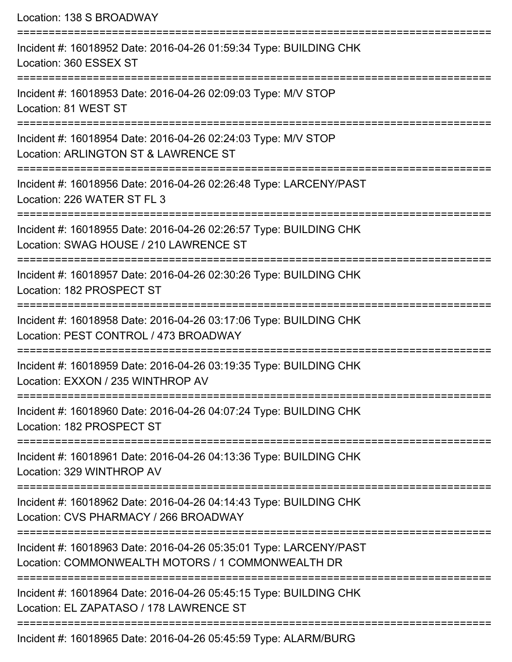Location: 138 S BROADWAY =========================================================================== Incident #: 16018952 Date: 2016-04-26 01:59:34 Type: BUILDING CHK Location: 360 ESSEX ST =========================================================================== Incident #: 16018953 Date: 2016-04-26 02:09:03 Type: M/V STOP Location: 81 WEST ST =========================================================================== Incident #: 16018954 Date: 2016-04-26 02:24:03 Type: M/V STOP Location: ARLINGTON ST & LAWRENCE ST =========================================================================== Incident #: 16018956 Date: 2016-04-26 02:26:48 Type: LARCENY/PAST Location: 226 WATER ST FL 3 =========================================================================== Incident #: 16018955 Date: 2016-04-26 02:26:57 Type: BUILDING CHK Location: SWAG HOUSE / 210 LAWRENCE ST =========================================================================== Incident #: 16018957 Date: 2016-04-26 02:30:26 Type: BUILDING CHK Location: 182 PROSPECT ST =========================================================================== Incident #: 16018958 Date: 2016-04-26 03:17:06 Type: BUILDING CHK Location: PEST CONTROL / 473 BROADWAY =========================================================================== Incident #: 16018959 Date: 2016-04-26 03:19:35 Type: BUILDING CHK Location: EXXON / 235 WINTHROP AV =========================================================================== Incident #: 16018960 Date: 2016-04-26 04:07:24 Type: BUILDING CHK Location: 182 PROSPECT ST =========================================================================== Incident #: 16018961 Date: 2016-04-26 04:13:36 Type: BUILDING CHK Location: 329 WINTHROP AV =========================================================================== Incident #: 16018962 Date: 2016-04-26 04:14:43 Type: BUILDING CHK Location: CVS PHARMACY / 266 BROADWAY =========================================================================== Incident #: 16018963 Date: 2016-04-26 05:35:01 Type: LARCENY/PAST Location: COMMONWEALTH MOTORS / 1 COMMONWEALTH DR =========================================================================== Incident #: 16018964 Date: 2016-04-26 05:45:15 Type: BUILDING CHK Location: EL ZAPATASO / 178 LAWRENCE ST ===========================================================================

Incident #: 16018965 Date: 2016-04-26 05:45:59 Type: ALARM/BURG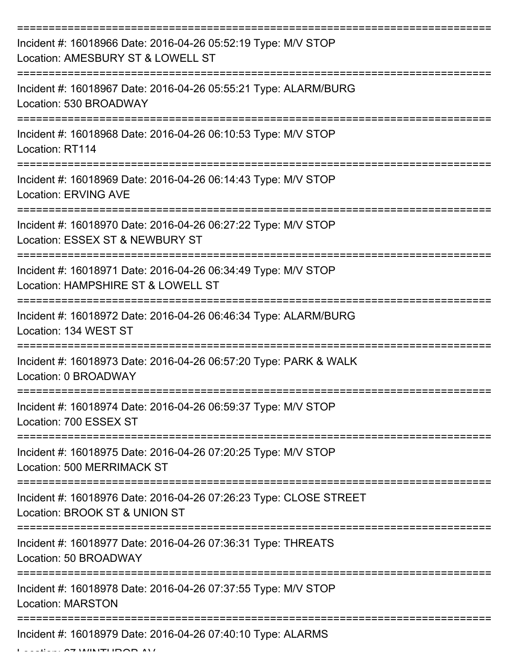| Incident #: 16018966 Date: 2016-04-26 05:52:19 Type: M/V STOP<br>Location: AMESBURY ST & LOWELL ST  |
|-----------------------------------------------------------------------------------------------------|
| Incident #: 16018967 Date: 2016-04-26 05:55:21 Type: ALARM/BURG<br>Location: 530 BROADWAY           |
| Incident #: 16018968 Date: 2016-04-26 06:10:53 Type: M/V STOP<br>Location: RT114                    |
| Incident #: 16018969 Date: 2016-04-26 06:14:43 Type: M/V STOP<br><b>Location: ERVING AVE</b>        |
| Incident #: 16018970 Date: 2016-04-26 06:27:22 Type: M/V STOP<br>Location: ESSEX ST & NEWBURY ST    |
| Incident #: 16018971 Date: 2016-04-26 06:34:49 Type: M/V STOP<br>Location: HAMPSHIRE ST & LOWELL ST |
| Incident #: 16018972 Date: 2016-04-26 06:46:34 Type: ALARM/BURG<br>Location: 134 WEST ST            |
| Incident #: 16018973 Date: 2016-04-26 06:57:20 Type: PARK & WALK<br>Location: 0 BROADWAY            |
| Incident #: 16018974 Date: 2016-04-26 06:59:37 Type: M/V STOP<br>Location: 700 ESSEX ST             |
| Incident #: 16018975 Date: 2016-04-26 07:20:25 Type: M/V STOP<br><b>Location: 500 MERRIMACK ST</b>  |
| Incident #: 16018976 Date: 2016-04-26 07:26:23 Type: CLOSE STREET<br>Location: BROOK ST & UNION ST  |
| Incident #: 16018977 Date: 2016-04-26 07:36:31 Type: THREATS<br>Location: 50 BROADWAY               |
| Incident #: 16018978 Date: 2016-04-26 07:37:55 Type: M/V STOP<br><b>Location: MARSTON</b>           |
| Incident #: 16018979 Date: 2016-04-26 07:40:10 Type: ALARMS                                         |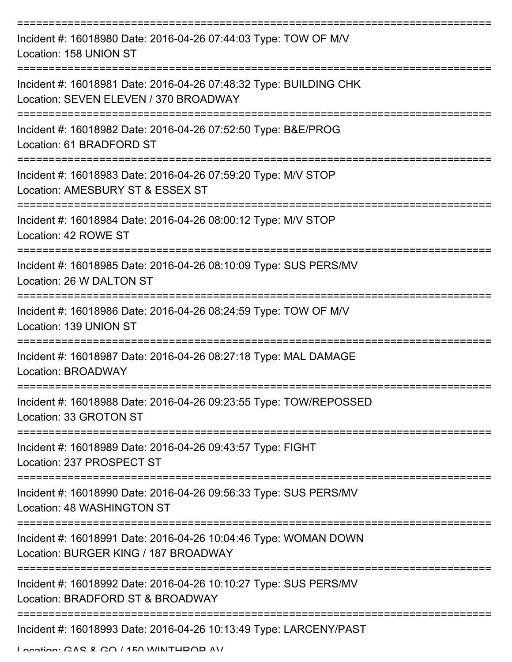| Incident #: 16018980 Date: 2016-04-26 07:44:03 Type: TOW OF M/V<br>Location: 158 UNION ST                  |
|------------------------------------------------------------------------------------------------------------|
| Incident #: 16018981 Date: 2016-04-26 07:48:32 Type: BUILDING CHK<br>Location: SEVEN ELEVEN / 370 BROADWAY |
| Incident #: 16018982 Date: 2016-04-26 07:52:50 Type: B&E/PROG<br>Location: 61 BRADFORD ST                  |
| Incident #: 16018983 Date: 2016-04-26 07:59:20 Type: M/V STOP<br>Location: AMESBURY ST & ESSEX ST          |
| Incident #: 16018984 Date: 2016-04-26 08:00:12 Type: M/V STOP<br>Location: 42 ROWE ST                      |
| Incident #: 16018985 Date: 2016-04-26 08:10:09 Type: SUS PERS/MV<br>Location: 26 W DALTON ST               |
| Incident #: 16018986 Date: 2016-04-26 08:24:59 Type: TOW OF M/V<br>Location: 139 UNION ST                  |
| Incident #: 16018987 Date: 2016-04-26 08:27:18 Type: MAL DAMAGE<br>Location: BROADWAY                      |
| Incident #: 16018988 Date: 2016-04-26 09:23:55 Type: TOW/REPOSSED<br>Location: 33 GROTON ST                |
| Incident #: 16018989 Date: 2016-04-26 09:43:57 Type: FIGHT<br>Location: 237 PROSPECT ST                    |
| Incident #: 16018990 Date: 2016-04-26 09:56:33 Type: SUS PERS/MV<br>Location: 48 WASHINGTON ST             |
| Incident #: 16018991 Date: 2016-04-26 10:04:46 Type: WOMAN DOWN<br>Location: BURGER KING / 187 BROADWAY    |
| Incident #: 16018992 Date: 2016-04-26 10:10:27 Type: SUS PERS/MV<br>Location: BRADFORD ST & BROADWAY       |
| Incident #: 16018993 Date: 2016-04-26 10:13:49 Type: LARCENY/PAST                                          |

Location: GAS & GO / 150 WINTHDOD AV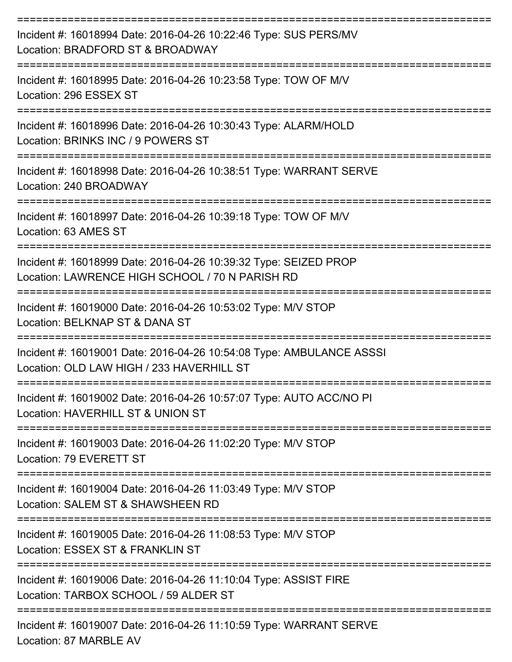| Incident #: 16018994 Date: 2016-04-26 10:22:46 Type: SUS PERS/MV<br>Location: BRADFORD ST & BROADWAY                |
|---------------------------------------------------------------------------------------------------------------------|
| Incident #: 16018995 Date: 2016-04-26 10:23:58 Type: TOW OF M/V<br>Location: 296 ESSEX ST                           |
| Incident #: 16018996 Date: 2016-04-26 10:30:43 Type: ALARM/HOLD<br>Location: BRINKS INC / 9 POWERS ST               |
| Incident #: 16018998 Date: 2016-04-26 10:38:51 Type: WARRANT SERVE<br>Location: 240 BROADWAY                        |
| Incident #: 16018997 Date: 2016-04-26 10:39:18 Type: TOW OF M/V<br>Location: 63 AMES ST                             |
| Incident #: 16018999 Date: 2016-04-26 10:39:32 Type: SEIZED PROP<br>Location: LAWRENCE HIGH SCHOOL / 70 N PARISH RD |
| Incident #: 16019000 Date: 2016-04-26 10:53:02 Type: M/V STOP<br>Location: BELKNAP ST & DANA ST                     |
| Incident #: 16019001 Date: 2016-04-26 10:54:08 Type: AMBULANCE ASSSI<br>Location: OLD LAW HIGH / 233 HAVERHILL ST   |
| Incident #: 16019002 Date: 2016-04-26 10:57:07 Type: AUTO ACC/NO PI<br>Location: HAVERHILL ST & UNION ST            |
| Incident #: 16019003 Date: 2016-04-26 11:02:20 Type: M/V STOP<br>Location: 79 EVERETT ST                            |
| Incident #: 16019004 Date: 2016-04-26 11:03:49 Type: M/V STOP<br>Location: SALEM ST & SHAWSHEEN RD                  |
| Incident #: 16019005 Date: 2016-04-26 11:08:53 Type: M/V STOP<br>Location: ESSEX ST & FRANKLIN ST                   |
| Incident #: 16019006 Date: 2016-04-26 11:10:04 Type: ASSIST FIRE<br>Location: TARBOX SCHOOL / 59 ALDER ST           |
| Incident #: 16019007 Date: 2016-04-26 11:10:59 Type: WARRANT SERVE                                                  |

Location: 87 MARBLE AV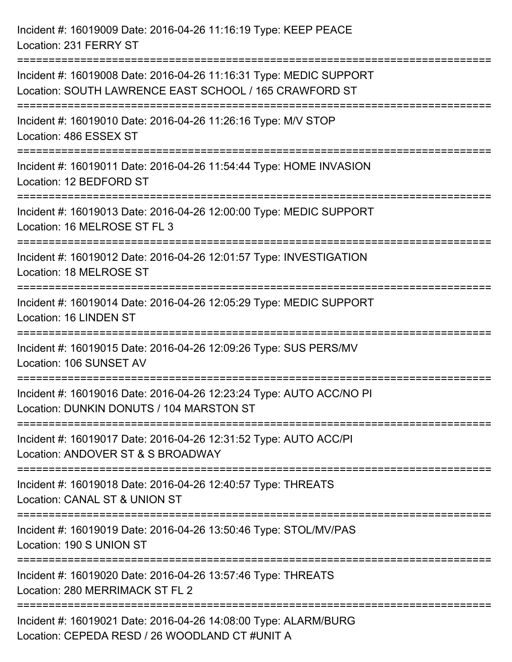Incident #: 16019009 Date: 2016-04-26 11:16:19 Type: KEEP PEACE Location: 231 FERRY ST

=========================================================================== Incident #: 16019008 Date: 2016-04-26 11:16:31 Type: MEDIC SUPPORT Location: SOUTH LAWRENCE EAST SCHOOL / 165 CRAWFORD ST =========================================================================== Incident #: 16019010 Date: 2016-04-26 11:26:16 Type: M/V STOP Location: 486 ESSEX ST =========================================================================== Incident #: 16019011 Date: 2016-04-26 11:54:44 Type: HOME INVASION Location: 12 BEDFORD ST

===========================================================================

Incident #: 16019013 Date: 2016-04-26 12:00:00 Type: MEDIC SUPPORT Location: 16 MELROSE ST FL 3

===========================================================================

Incident #: 16019012 Date: 2016-04-26 12:01:57 Type: INVESTIGATION Location: 18 MELROSE ST

===========================================================================

Incident #: 16019014 Date: 2016-04-26 12:05:29 Type: MEDIC SUPPORT Location: 16 LINDEN ST

===========================================================================

Incident #: 16019015 Date: 2016-04-26 12:09:26 Type: SUS PERS/MV

Location: 106 SUNSET AV

===========================================================================

Incident #: 16019016 Date: 2016-04-26 12:23:24 Type: AUTO ACC/NO PI Location: DUNKIN DONUTS / 104 MARSTON ST

===========================================================================

Incident #: 16019017 Date: 2016-04-26 12:31:52 Type: AUTO ACC/PI

Location: ANDOVER ST & S BROADWAY

===========================================================================

Incident #: 16019018 Date: 2016-04-26 12:40:57 Type: THREATS

Location: CANAL ST & UNION ST

===========================================================================

Incident #: 16019019 Date: 2016-04-26 13:50:46 Type: STOL/MV/PAS Location: 190 S UNION ST

===========================================================================

Incident #: 16019020 Date: 2016-04-26 13:57:46 Type: THREATS

Location: 280 MERRIMACK ST FL 2

===========================================================================

Incident #: 16019021 Date: 2016-04-26 14:08:00 Type: ALARM/BURG Location: CEPEDA RESD / 26 WOODLAND CT #UNIT A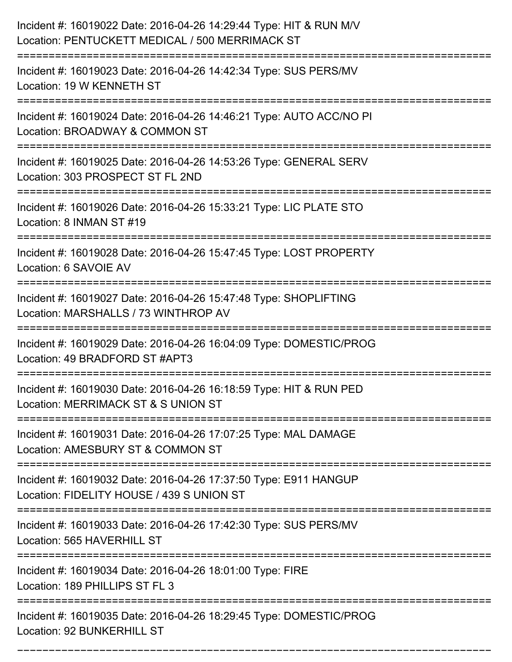| Incident #: 16019022 Date: 2016-04-26 14:29:44 Type: HIT & RUN M/V<br>Location: PENTUCKETT MEDICAL / 500 MERRIMACK ST            |
|----------------------------------------------------------------------------------------------------------------------------------|
| Incident #: 16019023 Date: 2016-04-26 14:42:34 Type: SUS PERS/MV<br>Location: 19 W KENNETH ST                                    |
| Incident #: 16019024 Date: 2016-04-26 14:46:21 Type: AUTO ACC/NO PI<br>Location: BROADWAY & COMMON ST<br>:====================== |
| Incident #: 16019025 Date: 2016-04-26 14:53:26 Type: GENERAL SERV<br>Location: 303 PROSPECT ST FL 2ND                            |
| Incident #: 16019026 Date: 2016-04-26 15:33:21 Type: LIC PLATE STO<br>Location: 8 INMAN ST #19                                   |
| Incident #: 16019028 Date: 2016-04-26 15:47:45 Type: LOST PROPERTY<br>Location: 6 SAVOIE AV                                      |
| Incident #: 16019027 Date: 2016-04-26 15:47:48 Type: SHOPLIFTING<br>Location: MARSHALLS / 73 WINTHROP AV                         |
| Incident #: 16019029 Date: 2016-04-26 16:04:09 Type: DOMESTIC/PROG<br>Location: 49 BRADFORD ST #APT3                             |
| Incident #: 16019030 Date: 2016-04-26 16:18:59 Type: HIT & RUN PED<br>Location: MERRIMACK ST & S UNION ST                        |
| Incident #: 16019031 Date: 2016-04-26 17:07:25 Type: MAL DAMAGE<br>Location: AMESBURY ST & COMMON ST                             |
| Incident #: 16019032 Date: 2016-04-26 17:37:50 Type: E911 HANGUP<br>Location: FIDELITY HOUSE / 439 S UNION ST                    |
| Incident #: 16019033 Date: 2016-04-26 17:42:30 Type: SUS PERS/MV<br>Location: 565 HAVERHILL ST                                   |
| Incident #: 16019034 Date: 2016-04-26 18:01:00 Type: FIRE<br>Location: 189 PHILLIPS ST FL 3                                      |
| Incident #: 16019035 Date: 2016-04-26 18:29:45 Type: DOMESTIC/PROG<br>Location: 92 BUNKERHILL ST                                 |

===========================================================================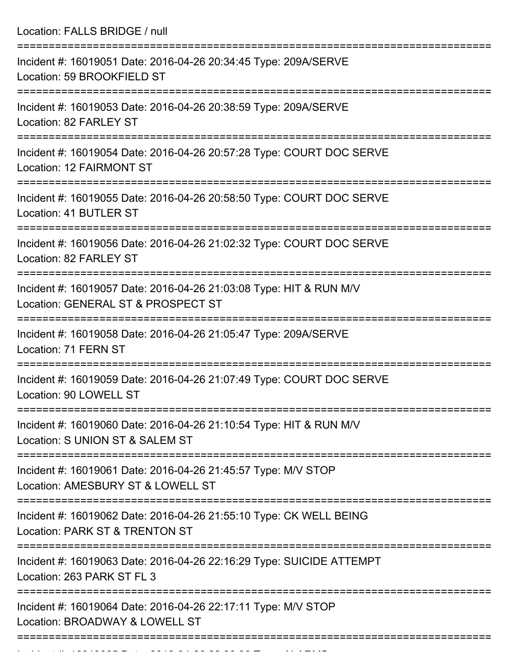Location: FALLS BRIDGE / null =========================================================================== Incident #: 16019051 Date: 2016-04-26 20:34:45 Type: 209A/SERVE Location: 59 BROOKFIELD ST =========================================================================== Incident #: 16019053 Date: 2016-04-26 20:38:59 Type: 209A/SERVE Location: 82 FARLEY ST

===========================================================================

Incident #: 16019054 Date: 2016-04-26 20:57:28 Type: COURT DOC SERVE Location: 12 FAIRMONT ST

===========================================================================

Incident #: 16019055 Date: 2016-04-26 20:58:50 Type: COURT DOC SERVE Location: 41 BUTLER ST

===========================================================================

Incident #: 16019056 Date: 2016-04-26 21:02:32 Type: COURT DOC SERVE Location: 82 FARLEY ST

===========================================================================

Incident #: 16019057 Date: 2016-04-26 21:03:08 Type: HIT & RUN M/V Location: GENERAL ST & PROSPECT ST

===========================================================================

Incident #: 16019058 Date: 2016-04-26 21:05:47 Type: 209A/SERVE Location: 71 FERN ST

===========================================================================

Incident #: 16019059 Date: 2016-04-26 21:07:49 Type: COURT DOC SERVE Location: 90 LOWELL ST

===========================================================================

Incident #: 16019060 Date: 2016-04-26 21:10:54 Type: HIT & RUN M/V Location: S UNION ST & SALEM ST

===========================================================================

Incident #: 16019061 Date: 2016-04-26 21:45:57 Type: M/V STOP

Location: AMESBURY ST & LOWELL ST

===========================================================================

Incident #: 16019062 Date: 2016-04-26 21:55:10 Type: CK WELL BEING

Location: PARK ST & TRENTON ST

===========================================================================

Incident #: 16019063 Date: 2016-04-26 22:16:29 Type: SUICIDE ATTEMPT

Location: 263 PARK ST FL 3

===========================================================================

===========================================================================

Incident #: 16019064 Date: 2016-04-26 22:17:11 Type: M/V STOP Location: BROADWAY & LOWELL ST

Incident #: 16019065 Date: 2016 04 26 22:36:06 Type: ALARMS